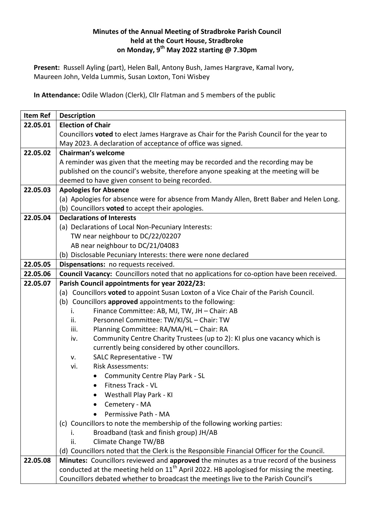## **Minutes of the Annual Meeting of Stradbroke Parish Council held at the Court House, Stradbroke on Monday, 9 th May 2022 starting @ 7.30pm**

**Present:** Russell Ayling (part), Helen Ball, Antony Bush, James Hargrave, Kamal Ivory, Maureen John, Velda Lummis, Susan Loxton, Toni Wisbey

**In Attendance:** Odile Wladon (Clerk), Cllr Flatman and 5 members of the public

| Item Ref | <b>Description</b>                                                                                   |
|----------|------------------------------------------------------------------------------------------------------|
| 22.05.01 | <b>Election of Chair</b>                                                                             |
|          | Councillors voted to elect James Hargrave as Chair for the Parish Council for the year to            |
|          | May 2023. A declaration of acceptance of office was signed.                                          |
| 22.05.02 | <b>Chairman's welcome</b>                                                                            |
|          | A reminder was given that the meeting may be recorded and the recording may be                       |
|          | published on the council's website, therefore anyone speaking at the meeting will be                 |
|          | deemed to have given consent to being recorded.                                                      |
| 22.05.03 | <b>Apologies for Absence</b>                                                                         |
|          | (a) Apologies for absence were for absence from Mandy Allen, Brett Baber and Helen Long.             |
|          | (b) Councillors <b>voted</b> to accept their apologies.                                              |
| 22.05.04 | <b>Declarations of Interests</b>                                                                     |
|          | (a) Declarations of Local Non-Pecuniary Interests:                                                   |
|          | TW near neighbour to DC/22/02207                                                                     |
|          | AB near neighbour to DC/21/04083                                                                     |
|          | (b) Disclosable Pecuniary Interests: there were none declared                                        |
| 22.05.05 | Dispensations: no requests received.                                                                 |
| 22.05.06 | Council Vacancy: Councillors noted that no applications for co-option have been received.            |
| 22.05.07 | Parish Council appointments for year 2022/23:                                                        |
|          | (a) Councillors voted to appoint Susan Loxton of a Vice Chair of the Parish Council.                 |
|          | (b) Councillors approved appointments to the following:                                              |
|          | Finance Committee: AB, MJ, TW, JH - Chair: AB<br>i.                                                  |
|          | Personnel Committee: TW/KI/SL - Chair: TW<br>ii.                                                     |
|          | Planning Committee: RA/MA/HL - Chair: RA<br>iii.                                                     |
|          | Community Centre Charity Trustees (up to 2): KI plus one vacancy which is<br>iv.                     |
|          | currently being considered by other councillors.                                                     |
|          | SALC Representative - TW<br>v.                                                                       |
|          | <b>Risk Assessments:</b><br>vi.                                                                      |
|          | <b>Community Centre Play Park - SL</b>                                                               |
|          | Fitness Track - VL                                                                                   |
|          | Westhall Play Park - KI                                                                              |
|          | Cemetery - MA                                                                                        |
|          | Permissive Path - MA                                                                                 |
|          | (c) Councillors to note the membership of the following working parties:                             |
|          | Broadband (task and finish group) JH/AB<br>İ.                                                        |
|          | ii.<br>Climate Change TW/BB                                                                          |
|          | (d) Councillors noted that the Clerk is the Responsible Financial Officer for the Council.           |
| 22.05.08 | Minutes: Councillors reviewed and approved the minutes as a true record of the business              |
|          | conducted at the meeting held on 11 <sup>th</sup> April 2022. HB apologised for missing the meeting. |
|          | Councillors debated whether to broadcast the meetings live to the Parish Council's                   |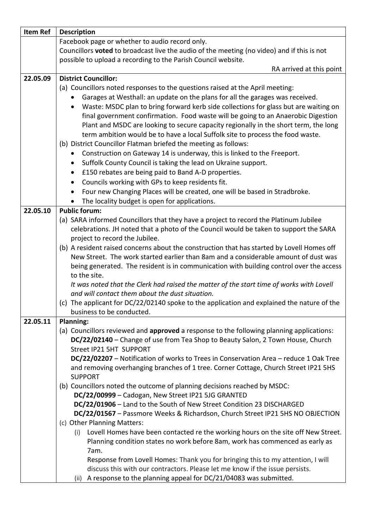| <b>Description</b>                                                                                                                                      |
|---------------------------------------------------------------------------------------------------------------------------------------------------------|
| Facebook page or whether to audio record only.                                                                                                          |
| Councillors voted to broadcast live the audio of the meeting (no video) and if this is not                                                              |
| possible to upload a recording to the Parish Council website.                                                                                           |
| RA arrived at this point                                                                                                                                |
| <b>District Councillor:</b>                                                                                                                             |
| (a) Councillors noted responses to the questions raised at the April meeting:                                                                           |
| Garages at Westhall: an update on the plans for all the garages was received.                                                                           |
| Waste: MSDC plan to bring forward kerb side collections for glass but are waiting on<br>$\bullet$                                                       |
| final government confirmation. Food waste will be going to an Anaerobic Digestion                                                                       |
| Plant and MSDC are looking to secure capacity regionally in the short term, the long                                                                    |
| term ambition would be to have a local Suffolk site to process the food waste.                                                                          |
| (b) District Councillor Flatman briefed the meeting as follows:                                                                                         |
| Construction on Gateway 14 is underway, this is linked to the Freeport.<br>$\bullet$                                                                    |
| Suffolk County Council is taking the lead on Ukraine support.<br>$\bullet$                                                                              |
| £150 rebates are being paid to Band A-D properties.<br>$\bullet$                                                                                        |
| Councils working with GPs to keep residents fit.<br>$\bullet$                                                                                           |
| Four new Changing Places will be created, one will be based in Stradbroke.<br>$\bullet$                                                                 |
| The locality budget is open for applications.<br>$\bullet$                                                                                              |
| <b>Public forum:</b>                                                                                                                                    |
| (a) SARA informed Councillors that they have a project to record the Platinum Jubilee                                                                   |
| celebrations. JH noted that a photo of the Council would be taken to support the SARA                                                                   |
| project to record the Jubilee.                                                                                                                          |
| (b) A resident raised concerns about the construction that has started by Lovell Homes off                                                              |
| New Street. The work started earlier than 8am and a considerable amount of dust was                                                                     |
| being generated. The resident is in communication with building control over the access<br>to the site.                                                 |
| It was noted that the Clerk had raised the matter of the start time of works with Lovell                                                                |
| and will contact them about the dust situation.                                                                                                         |
| (c) The applicant for DC/22/02140 spoke to the application and explained the nature of the                                                              |
| business to be conducted.                                                                                                                               |
| <b>Planning:</b>                                                                                                                                        |
| (a) Councillors reviewed and approved a response to the following planning applications:                                                                |
| DC/22/02140 - Change of use from Tea Shop to Beauty Salon, 2 Town House, Church                                                                         |
| Street IP21 5HT SUPPORT                                                                                                                                 |
| DC/22/02207 - Notification of works to Trees in Conservation Area - reduce 1 Oak Tree                                                                   |
| and removing overhanging branches of 1 tree. Corner Cottage, Church Street IP21 5HS                                                                     |
| <b>SUPPORT</b>                                                                                                                                          |
| (b) Councillors noted the outcome of planning decisions reached by MSDC:                                                                                |
| DC/22/00999 - Cadogan, New Street IP21 5JG GRANTED                                                                                                      |
| DC/22/01906 - Land to the South of New Street Condition 23 DISCHARGED<br>DC/22/01567 - Passmore Weeks & Richardson, Church Street IP21 5HS NO OBJECTION |
| (c) Other Planning Matters:                                                                                                                             |
| (i) Lovell Homes have been contacted re the working hours on the site off New Street.                                                                   |
| Planning condition states no work before 8am, work has commenced as early as                                                                            |
| 7am.                                                                                                                                                    |
| Response from Lovell Homes: Thank you for bringing this to my attention, I will                                                                         |
| discuss this with our contractors. Please let me know if the issue persists.                                                                            |
| (ii) A response to the planning appeal for DC/21/04083 was submitted.                                                                                   |
|                                                                                                                                                         |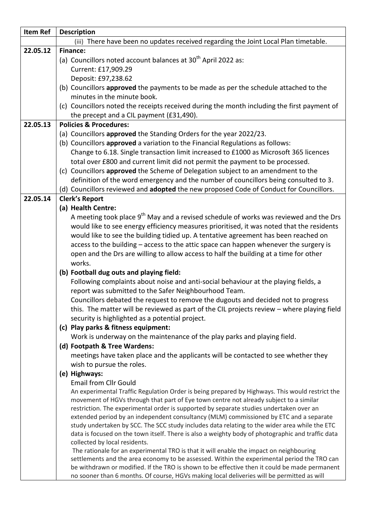| Item Ref | <b>Description</b>                                                                                                                           |
|----------|----------------------------------------------------------------------------------------------------------------------------------------------|
|          | (iii) There have been no updates received regarding the Joint Local Plan timetable.                                                          |
| 22.05.12 | <b>Finance:</b>                                                                                                                              |
|          | (a) Councillors noted account balances at 30 <sup>th</sup> April 2022 as:                                                                    |
|          | Current: £17,909.29                                                                                                                          |
|          | Deposit: £97,238.62                                                                                                                          |
|          | (b) Councillors approved the payments to be made as per the schedule attached to the                                                         |
|          | minutes in the minute book.                                                                                                                  |
|          | (c) Councillors noted the receipts received during the month including the first payment of                                                  |
|          | the precept and a CIL payment (£31,490).                                                                                                     |
| 22.05.13 | <b>Policies &amp; Procedures:</b>                                                                                                            |
|          | (a) Councillors approved the Standing Orders for the year 2022/23.                                                                           |
|          | (b) Councillors approved a variation to the Financial Regulations as follows:                                                                |
|          | Change to 6.18. Single transaction limit increased to £1000 as Microsoft 365 licences                                                        |
|          | total over £800 and current limit did not permit the payment to be processed.                                                                |
|          | (c) Councillors approved the Scheme of Delegation subject to an amendment to the                                                             |
|          | definition of the word emergency and the number of councillors being consulted to 3.                                                         |
|          | (d) Councillors reviewed and adopted the new proposed Code of Conduct for Councillors.                                                       |
| 22.05.14 | <b>Clerk's Report</b>                                                                                                                        |
|          | (a) Health Centre:                                                                                                                           |
|          | A meeting took place 9 <sup>th</sup> May and a revised schedule of works was reviewed and the Drs                                            |
|          | would like to see energy efficiency measures prioritised, it was noted that the residents                                                    |
|          | would like to see the building tidied up. A tentative agreement has been reached on                                                          |
|          | access to the building - access to the attic space can happen whenever the surgery is                                                        |
|          | open and the Drs are willing to allow access to half the building at a time for other                                                        |
|          | works.                                                                                                                                       |
|          | (b) Football dug outs and playing field:                                                                                                     |
|          | Following complaints about noise and anti-social behaviour at the playing fields, a<br>report was submitted to the Safer Neighbourhood Team. |
|          | Councillors debated the request to remove the dugouts and decided not to progress                                                            |
|          | this. The matter will be reviewed as part of the CIL projects review - where playing field                                                   |
|          | security is highlighted as a potential project.                                                                                              |
|          | (c) Play parks & fitness equipment:                                                                                                          |
|          | Work is underway on the maintenance of the play parks and playing field.                                                                     |
|          | (d) Footpath & Tree Wardens:                                                                                                                 |
|          | meetings have taken place and the applicants will be contacted to see whether they                                                           |
|          | wish to pursue the roles.                                                                                                                    |
|          | (e) Highways:                                                                                                                                |
|          | <b>Email from Cllr Gould</b>                                                                                                                 |
|          | An experimental Traffic Regulation Order is being prepared by Highways. This would restrict the                                              |
|          | movement of HGVs through that part of Eye town centre not already subject to a similar                                                       |
|          | restriction. The experimental order is supported by separate studies undertaken over an                                                      |
|          | extended period by an independent consultancy (MLM) commissioned by ETC and a separate                                                       |
|          | study undertaken by SCC. The SCC study includes data relating to the wider area while the ETC                                                |
|          | data is focused on the town itself. There is also a weighty body of photographic and traffic data<br>collected by local residents.           |
|          | The rationale for an experimental TRO is that it will enable the impact on neighbouring                                                      |
|          | settlements and the area economy to be assessed. Within the experimental period the TRO can                                                  |
|          | be withdrawn or modified. If the TRO is shown to be effective then it could be made permanent                                                |
|          | no sooner than 6 months. Of course, HGVs making local deliveries will be permitted as will                                                   |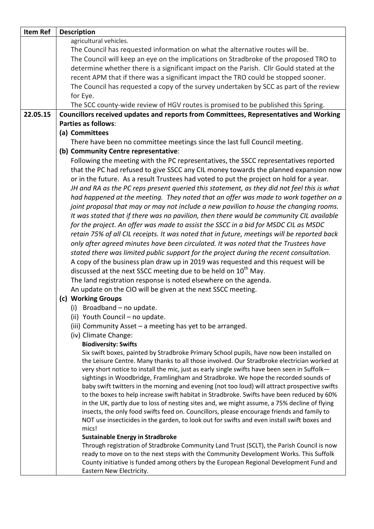| <b>Item Ref</b> | <b>Description</b>                                                                                   |
|-----------------|------------------------------------------------------------------------------------------------------|
|                 | agricultural vehicles.                                                                               |
|                 | The Council has requested information on what the alternative routes will be.                        |
|                 | The Council will keep an eye on the implications on Stradbroke of the proposed TRO to                |
|                 | determine whether there is a significant impact on the Parish. Cllr Gould stated at the              |
|                 | recent APM that if there was a significant impact the TRO could be stopped sooner.                   |
|                 | The Council has requested a copy of the survey undertaken by SCC as part of the review               |
|                 | for Eye.                                                                                             |
|                 | The SCC county-wide review of HGV routes is promised to be published this Spring.                    |
| 22.05.15        | Councillors received updates and reports from Committees, Representatives and Working                |
|                 | <b>Parties as follows:</b>                                                                           |
|                 | (a) Committees                                                                                       |
|                 | There have been no committee meetings since the last full Council meeting.                           |
|                 | (b) Community Centre representative:                                                                 |
|                 | Following the meeting with the PC representatives, the SSCC representatives reported                 |
|                 | that the PC had refused to give SSCC any CIL money towards the planned expansion now                 |
|                 | or in the future. As a result Trustees had voted to put the project on hold for a year.              |
|                 | JH and RA as the PC reps present queried this statement, as they did not feel this is what           |
|                 |                                                                                                      |
|                 | had happened at the meeting. They noted that an offer was made to work together on a                 |
|                 | joint proposal that may or may not include a new pavilion to house the changing rooms.               |
|                 | It was stated that if there was no pavilion, then there would be community CIL available             |
|                 | for the project. An offer was made to assist the SSCC in a bid for MSDC CIL as MSDC                  |
|                 | retain 75% of all CIL receipts. It was noted that in future, meetings will be reported back          |
|                 | only after agreed minutes have been circulated. It was noted that the Trustees have                  |
|                 | stated there was limited public support for the project during the recent consultation.              |
|                 | A copy of the business plan draw up in 2019 was requested and this request will be                   |
|                 | discussed at the next SSCC meeting due to be held on 10 <sup>th</sup> May.                           |
|                 | The land registration response is noted elsewhere on the agenda.                                     |
|                 | An update on the CIO will be given at the next SSCC meeting.                                         |
|                 | (c) Working Groups                                                                                   |
|                 | $(i)$ Broadband – no update.                                                                         |
|                 | (ii) Youth Council - no update.                                                                      |
|                 | (iii) Community Asset - a meeting has yet to be arranged.                                            |
|                 | (iv) Climate Change:                                                                                 |
|                 | <b>Biodiversity: Swifts</b>                                                                          |
|                 | Six swift boxes, painted by Stradbroke Primary School pupils, have now been installed on             |
|                 | the Leisure Centre. Many thanks to all those involved. Our Stradbroke electrician worked at          |
|                 | very short notice to install the mic, just as early single swifts have been seen in Suffolk-         |
|                 | sightings in Woodbridge, Framlingham and Stradbroke. We hope the recorded sounds of                  |
|                 | baby swift twitters in the morning and evening (not too loud) will attract prospective swifts        |
|                 | to the boxes to help increase swift habitat in Stradbroke. Swifts have been reduced by 60%           |
|                 | in the UK, partly due to loss of nesting sites and, we might assume, a 75% decline of flying         |
|                 | insects, the only food swifts feed on. Councillors, please encourage friends and family to           |
|                 | NOT use insecticides in the garden, to look out for swifts and even install swift boxes and<br>mics! |
|                 | <b>Sustainable Energy in Stradbroke</b>                                                              |
|                 | Through registration of Stradbroke Community Land Trust (SCLT), the Parish Council is now            |
|                 | ready to move on to the next steps with the Community Development Works. This Suffolk                |
|                 | County initiative is funded among others by the European Regional Development Fund and               |
|                 | Eastern New Electricity.                                                                             |